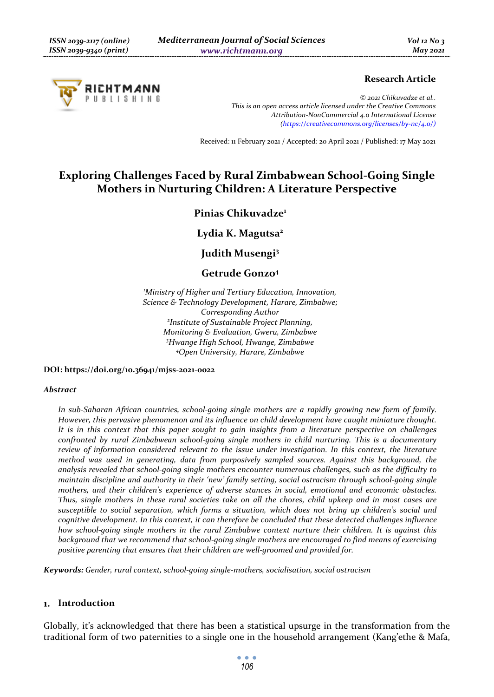

### **Research Article**

*© 2021 Chikuvadze et al.. This is an open access article licensed under the Creative Commons Attribution-NonCommercial 4.0 International License (https://creativecommons.org/licenses/by-nc/4.0/)*

Received: 11 February 2021 / Accepted: 20 April 2021 / Published: 17 May 2021

# **Exploring Challenges Faced by Rural Zimbabwean School-Going Single Mothers in Nurturing Children: A Literature Perspective**

# **Pinias Chikuvadze1**

# **Lydia K. Magutsa2**

**Judith Musengi3** 

## **Getrude Gonzo4**

*1 Ministry of Higher and Tertiary Education, Innovation, Science & Technology Development, Harare, Zimbabwe; Corresponding Author 2 Institute of Sustainable Project Planning, Monitoring & Evaluation, Gweru, Zimbabwe 3 Hwange High School, Hwange, Zimbabwe 4 Open University, Harare, Zimbabwe* 

**DOI: https://doi.org/10.36941/mjss-2021-0022** 

#### *Abstract*

*In sub-Saharan African countries, school-going single mothers are a rapidly growing new form of family. However, this pervasive phenomenon and its influence on child development have caught miniature thought. It is in this context that this paper sought to gain insights from a literature perspective on challenges confronted by rural Zimbabwean school-going single mothers in child nurturing. This is a documentary review of information considered relevant to the issue under investigation. In this context, the literature method was used in generating, data from purposively sampled sources. Against this background, the analysis revealed that school-going single mothers encounter numerous challenges, such as the difficulty to maintain discipline and authority in their 'new' family setting, social ostracism through school-going single mothers, and their children's experience of adverse stances in social, emotional and economic obstacles. Thus, single mothers in these rural societies take on all the chores, child upkeep and in most cases are susceptible to social separation, which forms a situation, which does not bring up children's social and cognitive development. In this context, it can therefore be concluded that these detected challenges influence how school-going single mothers in the rural Zimbabwe context nurture their children. It is against this background that we recommend that school-going single mothers are encouraged to find means of exercising positive parenting that ensures that their children are well-groomed and provided for.* 

*Keywords: Gender, rural context, school-going single-mothers, socialisation, social ostracism* 

#### **Introduction**

Globally, it's acknowledged that there has been a statistical upsurge in the transformation from the traditional form of two paternities to a single one in the household arrangement (Kang'ethe & Mafa,

> $\bullet$   $\bullet$   $\bullet$ *106*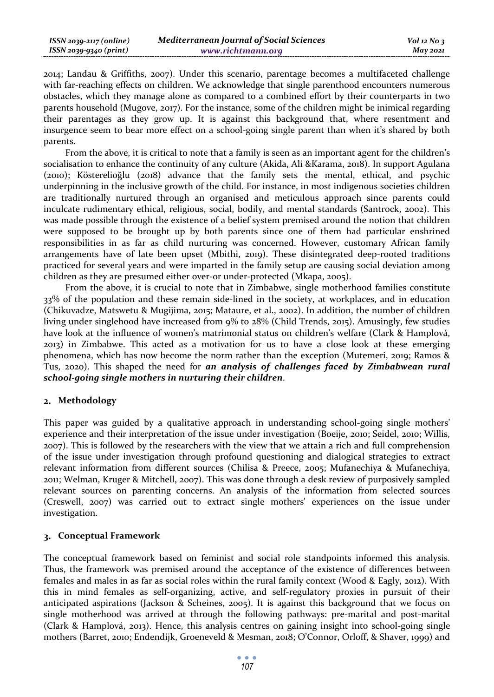| ISSN 2039-2117 (online) | <b>Mediterranean Journal of Social Sciences</b> | $Vol$ 12 No 3 |
|-------------------------|-------------------------------------------------|---------------|
| ISSN 2039-9340 (print)  | www.richtmann.org                               | $M$ ay 2021   |

2014; Landau & Griffiths, 2007). Under this scenario, parentage becomes a multifaceted challenge with far-reaching effects on children. We acknowledge that single parenthood encounters numerous obstacles, which they manage alone as compared to a combined effort by their counterparts in two parents household (Mugove, 2017). For the instance, some of the children might be inimical regarding their parentages as they grow up. It is against this background that, where resentment and insurgence seem to bear more effect on a school-going single parent than when it's shared by both parents.

From the above, it is critical to note that a family is seen as an important agent for the children's socialisation to enhance the continuity of any culture (Akida, Ali &Karama, 2018). In support Agulana (2010); Kösterelioğlu (2018) advance that the family sets the mental, ethical, and psychic underpinning in the inclusive growth of the child. For instance, in most indigenous societies children are traditionally nurtured through an organised and meticulous approach since parents could inculcate rudimentary ethical, religious, social, bodily, and mental standards (Santrock, 2002). This was made possible through the existence of a belief system premised around the notion that children were supposed to be brought up by both parents since one of them had particular enshrined responsibilities in as far as child nurturing was concerned. However, customary African family arrangements have of late been upset (Mbithi, 2019). These disintegrated deep-rooted traditions practiced for several years and were imparted in the family setup are causing social deviation among children as they are presumed either over-or under-protected (Mkapa, 2005).

From the above, it is crucial to note that in Zimbabwe, single motherhood families constitute 33% of the population and these remain side-lined in the society, at workplaces, and in education (Chikuvadze, Matswetu & Mugijima, 2015; Mataure, et al., 2002). In addition, the number of children living under singlehood have increased from 9% to 28% (Child Trends, 2015). Amusingly, few studies have look at the influence of women's matrimonial status on children's welfare (Clark & Hamplová, 2013) in Zimbabwe. This acted as a motivation for us to have a close look at these emerging phenomena, which has now become the norm rather than the exception (Mutemeri, 2019; Ramos & Tus, 2020). This shaped the need for *an analysis of challenges faced by Zimbabwean rural school-going single mothers in nurturing their children*.

#### **Methodology**

This paper was guided by a qualitative approach in understanding school-going single mothers' experience and their interpretation of the issue under investigation (Boeije, 2010; Seidel, 2010; Willis, 2007). This is followed by the researchers with the view that we attain a rich and full comprehension of the issue under investigation through profound questioning and dialogical strategies to extract relevant information from different sources (Chilisa & Preece, 2005; Mufanechiya & Mufanechiya, 2011; Welman, Kruger & Mitchell, 2007). This was done through a desk review of purposively sampled relevant sources on parenting concerns. An analysis of the information from selected sources (Creswell, 2007) was carried out to extract single mothers' experiences on the issue under investigation.

#### **Conceptual Framework**

The conceptual framework based on feminist and social role standpoints informed this analysis. Thus, the framework was premised around the acceptance of the existence of differences between females and males in as far as social roles within the rural family context (Wood & Eagly, 2012). With this in mind females as self-organizing, active, and self-regulatory proxies in pursuit of their anticipated aspirations (Jackson & Scheines, 2005). It is against this background that we focus on single motherhood was arrived at through the following pathways: pre-marital and post-marital (Clark & Hamplová, 2013). Hence, this analysis centres on gaining insight into school-going single mothers (Barret, 2010; Endendijk, Groeneveld & Mesman, 2018; O'Connor, Orloff, & Shaver, 1999) and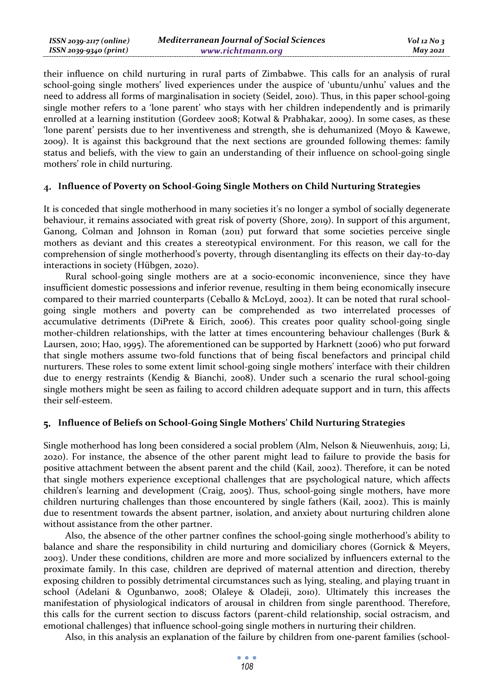| $ISSN 2039-2117 (online)$ | <b>Mediterranean Journal of Social Sciences</b> | $Vol$ 12 No 3   |
|---------------------------|-------------------------------------------------|-----------------|
| ISSN 2039-9340 (print)    | www.richtmann.org                               | <b>May 2021</b> |

their influence on child nurturing in rural parts of Zimbabwe. This calls for an analysis of rural school-going single mothers' lived experiences under the auspice of 'ubuntu/unhu' values and the need to address all forms of marginalisation in society (Seidel, 2010). Thus, in this paper school-going single mother refers to a 'lone parent' who stays with her children independently and is primarily enrolled at a learning institution (Gordeev 2008; Kotwal & Prabhakar, 2009). In some cases, as these 'lone parent' persists due to her inventiveness and strength, she is dehumanized (Moyo & Kawewe, 2009). It is against this background that the next sections are grounded following themes: family status and beliefs, with the view to gain an understanding of their influence on school-going single mothers' role in child nurturing.

#### **Influence of Poverty on School-Going Single Mothers on Child Nurturing Strategies**

It is conceded that single motherhood in many societies it's no longer a symbol of socially degenerate behaviour, it remains associated with great risk of poverty (Shore, 2019). In support of this argument, Ganong, Colman and Johnson in Roman (2011) put forward that some societies perceive single mothers as deviant and this creates a stereotypical environment. For this reason, we call for the comprehension of single motherhood's poverty, through disentangling its effects on their day-to-day interactions in society (Hübgen, 2020).

Rural school-going single mothers are at a socio-economic inconvenience, since they have insufficient domestic possessions and inferior revenue, resulting in them being economically insecure compared to their married counterparts (Ceballo & McLoyd, 2002). It can be noted that rural schoolgoing single mothers and poverty can be comprehended as two interrelated processes of accumulative detriments (DiPrete & Eirich, 2006). This creates poor quality school-going single mother-children relationships, with the latter at times encountering behaviour challenges (Burk & Laursen, 2010; Hao, 1995). The aforementioned can be supported by Harknett (2006) who put forward that single mothers assume two-fold functions that of being fiscal benefactors and principal child nurturers. These roles to some extent limit school-going single mothers' interface with their children due to energy restraints (Kendig & Bianchi, 2008). Under such a scenario the rural school-going single mothers might be seen as failing to accord children adequate support and in turn, this affects their self-esteem.

#### **Influence of Beliefs on School-Going Single Mothers' Child Nurturing Strategies**

Single motherhood has long been considered a social problem (Alm, Nelson & Nieuwenhuis, 2019; Li, 2020). For instance, the absence of the other parent might lead to failure to provide the basis for positive attachment between the absent parent and the child (Kail, 2002). Therefore, it can be noted that single mothers experience exceptional challenges that are psychological nature, which affects children's learning and development (Craig, 2005). Thus, school-going single mothers, have more children nurturing challenges than those encountered by single fathers (Kail, 2002). This is mainly due to resentment towards the absent partner, isolation, and anxiety about nurturing children alone without assistance from the other partner.

Also, the absence of the other partner confines the school-going single motherhood's ability to balance and share the responsibility in child nurturing and domiciliary chores (Gornick & Meyers, 2003). Under these conditions, children are more and more socialized by influencers external to the proximate family. In this case, children are deprived of maternal attention and direction, thereby exposing children to possibly detrimental circumstances such as lying, stealing, and playing truant in school (Adelani & Ogunbanwo, 2008; Olaleye & Oladeji, 2010). Ultimately this increases the manifestation of physiological indicators of arousal in children from single parenthood. Therefore, this calls for the current section to discuss factors (parent-child relationship, social ostracism, and emotional challenges) that influence school-going single mothers in nurturing their children.

Also, in this analysis an explanation of the failure by children from one-parent families (school-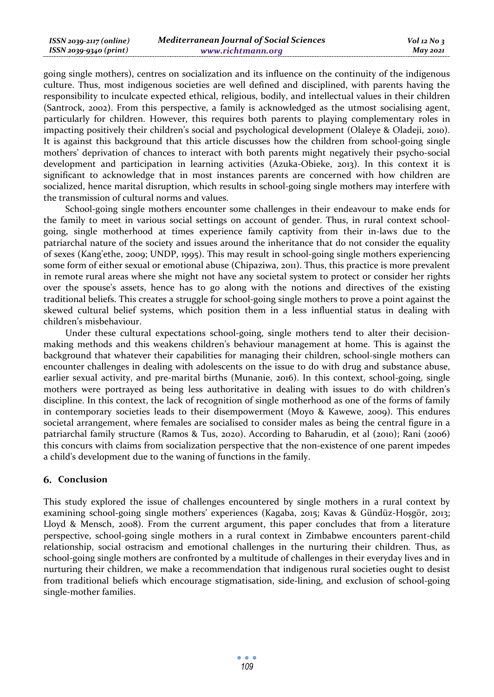| ISSN 2039-2117 (online) | <b>Mediterranean Journal of Social Sciences</b> | $Vol$ 12 No 3   |
|-------------------------|-------------------------------------------------|-----------------|
| ISSN 2039-9340 (print)  | www.richtmann.org                               | <b>May 2021</b> |

going single mothers), centres on socialization and its influence on the continuity of the indigenous culture. Thus, most indigenous societies are well defined and disciplined, with parents having the responsibility to inculcate expected ethical, religious, bodily, and intellectual values in their children (Santrock, 2002). From this perspective, a family is acknowledged as the utmost socialising agent, particularly for children. However, this requires both parents to playing complementary roles in impacting positively their children's social and psychological development (Olaleye & Oladeji, 2010). It is against this background that this article discusses how the children from school-going single mothers' deprivation of chances to interact with both parents might negatively their psycho-social development and participation in learning activities (Azuka-Obieke, 2013). In this context it is significant to acknowledge that in most instances parents are concerned with how children are socialized, hence marital disruption, which results in school-going single mothers may interfere with the transmission of cultural norms and values.

School-going single mothers encounter some challenges in their endeavour to make ends for the family to meet in various social settings on account of gender. Thus, in rural context schoolgoing, single motherhood at times experience family captivity from their in-laws due to the patriarchal nature of the society and issues around the inheritance that do not consider the equality of sexes (Kang'ethe, 2009; UNDP, 1995). This may result in school-going single mothers experiencing some form of either sexual or emotional abuse (Chipaziwa, 2011). Thus, this practice is more prevalent in remote rural areas where she might not have any societal system to protect or consider her rights over the spouse's assets, hence has to go along with the notions and directives of the existing traditional beliefs. This creates a struggle for school-going single mothers to prove a point against the skewed cultural belief systems, which position them in a less influential status in dealing with children's misbehaviour.

Under these cultural expectations school-going, single mothers tend to alter their decisionmaking methods and this weakens children's behaviour management at home. This is against the background that whatever their capabilities for managing their children, school-single mothers can encounter challenges in dealing with adolescents on the issue to do with drug and substance abuse, earlier sexual activity, and pre-marital births (Munanie, 2016). In this context, school-going, single mothers were portrayed as being less authoritative in dealing with issues to do with children's discipline. In this context, the lack of recognition of single motherhood as one of the forms of family in contemporary societies leads to their disempowerment (Moyo & Kawewe, 2009). This endures societal arrangement, where females are socialised to consider males as being the central figure in a patriarchal family structure (Ramos & Tus, 2020). According to Baharudin, et al (2010); Rani (2006) this concurs with claims from socialization perspective that the non-existence of one parent impedes a child's development due to the waning of functions in the family.

#### **Conclusion**

This study explored the issue of challenges encountered by single mothers in a rural context by examining school-going single mothers' experiences (Kagaba, 2015; Kavas & Gündüz-Hoşgör, 2013; Lloyd & Mensch, 2008). From the current argument, this paper concludes that from a literature perspective, school-going single mothers in a rural context in Zimbabwe encounters parent-child relationship, social ostracism and emotional challenges in the nurturing their children. Thus, as school-going single mothers are confronted by a multitude of challenges in their everyday lives and in nurturing their children, we make a recommendation that indigenous rural societies ought to desist from traditional beliefs which encourage stigmatisation, side-lining, and exclusion of school-going single-mother families.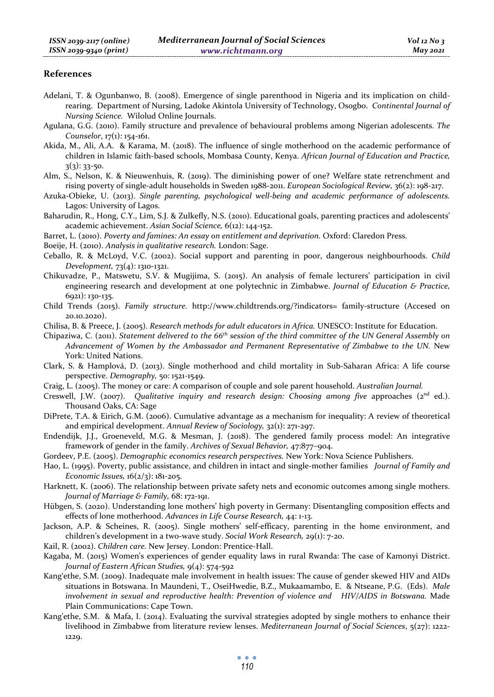#### **References**

- Adelani, T. & Ogunbanwo, B. (2008). Emergence of single parenthood in Nigeria and its implication on childrearing. Department of Nursing, Ladoke Akintola University of Technology, Osogbo. *Continental Journal of Nursing Science.* Wilolud Online Journals.
- Agulana, G.G. (2010). Family structure and prevalence of behavioural problems among Nigerian adolescents. *The Counselor*, 17(1): 154-161.
- Akida, M., Ali, A.A. & Karama, M. (2018). The influence of single motherhood on the academic performance of children in Islamic faith-based schools, Mombasa County, Kenya. *African Journal of Education and Practice,* 3(3): 33-50.
- Alm, S., Nelson, K. & Nieuwenhuis, R. (2019). The diminishing power of one? Welfare state retrenchment and rising poverty of single-adult households in Sweden 1988-2011. *European Sociological Review,* 36(2): 198-217.
- Azuka-Obieke, U. (2013). *Single parenting, psychological well-being and academic performance of adolescents.* Lagos: University of Lagos.
- Baharudin, R., Hong, C.Y., Lim, S.J. & Zulkefly, N.S. (2010). Educational goals, parenting practices and adolescents' academic achievement. *Asian Social Science,* 6(12): 144-152.
- Barret, L. (2010). *Poverty and famines: An essay on entitlement and deprivation.* Oxford: Claredon Press.

Boeije, H. (2010). *Analysis in qualitative research.* London: Sage.

- Ceballo, R. & McLoyd, V.C. (2002). Social support and parenting in poor, dangerous neighbourhoods. *Child Development,* 73(4): 1310-1321.
- Chikuvadze, P., Matswetu, S.V. & Mugijima, S. (2015). An analysis of female lecturers' participation in civil engineering research and development at one polytechnic in Zimbabwe. *Journal of Education & Practice,* 6921): 130-135.
- Child Trends (2015). *Family structure.* http://www.childtrends.org/?indicators= family-structure (Accesed on 20.10.2020).
- Chilisa, B. & Preece, J. (2005). *Research methods for adult educators in Africa.* UNESCO: Institute for Education.
- Chipaziwa, C. (2011). *Statement delivered to the 66th session of the third committee of the UN General Assembly on*  Advancement of Women by the Ambassador and Permanent Representative of Zimbabwe to the UN. New York: United Nations.
- Clark, S. & Hamplová, D. (2013). Single motherhood and child mortality in Sub-Saharan Africa: A life course perspective. *Demography,* 50: 1521-1549.
- Craig, L. (2005). The money or care: A comparison of couple and sole parent household. *Australian Journal.*
- Creswell, J.W. (2007). *Qualitative inquiry and research design: Choosing among five* approaches (2<sup>nd</sup> ed.). Thousand Oaks, CA: Sage
- DiPrete, T.A. & Eirich, G.M. (2006). Cumulative advantage as a mechanism for inequality: A review of theoretical and empirical development. *Annual Review of Sociology,* 32(1): 271-297.
- Endendijk, J.J., Groeneveld, M.G. & Mesman, J. (2018). The gendered family process model: An integrative framework of gender in the family. *Archives of Sexual Behavior,* 47:877–904.
- Gordeev, P.E. (2005). *Demographic economics research perspectives.* New York: Nova Science Publishers.
- Hao, L. (1995). Poverty, public assistance, and children in intact and single-mother families *Journal of Family and Economic Issues,* 16(2/3): 181-205.
- Harknett, K. (2006). The relationship between private safety nets and economic outcomes among single mothers. *Journal of Marriage & Family,* 68: 172-191.
- Hübgen, S. (2020). Understanding lone mothers' high poverty in Germany: Disentangling composition effects and effects of lone motherhood. *Advances in Life Course Research,* 44: 1-13.
- Jackson, A.P. & Scheines, R. (2005). Single mothers' self-efficacy, parenting in the home environment, and children's development in a two-wave study. *Social Work Research,* 29(1): 7-20.
- Kail, R. (2002). *Children care.* New Jersey. London: Prentice-Hall.
- Kagaba, M. (2015) Women's experiences of gender equality laws in rural Rwanda: The case of Kamonyi District. *Journal of Eastern African Studies,* 9(4): 574-592
- Kang'ethe, S.M. (2009). Inadequate male involvement in health issues: The cause of gender skewed HIV and AIDs situations in Botswana. In Maundeni, T., OseiHwedie, B.Z., Mukaamambo, E. & Ntseane, P.G. (Eds). *Male involvement in sexual and reproductive health: Prevention of violence and HIV/AIDS in Botswana.* Made Plain Communications: Cape Town.
- Kang'ethe, S.M. & Mafa, I. (2014). Evaluating the survival strategies adopted by single mothers to enhance their livelihood in Zimbabwe from literature review lenses. *Mediterranean Journal of Social Sciences*, 5(27): 1222- 1229.